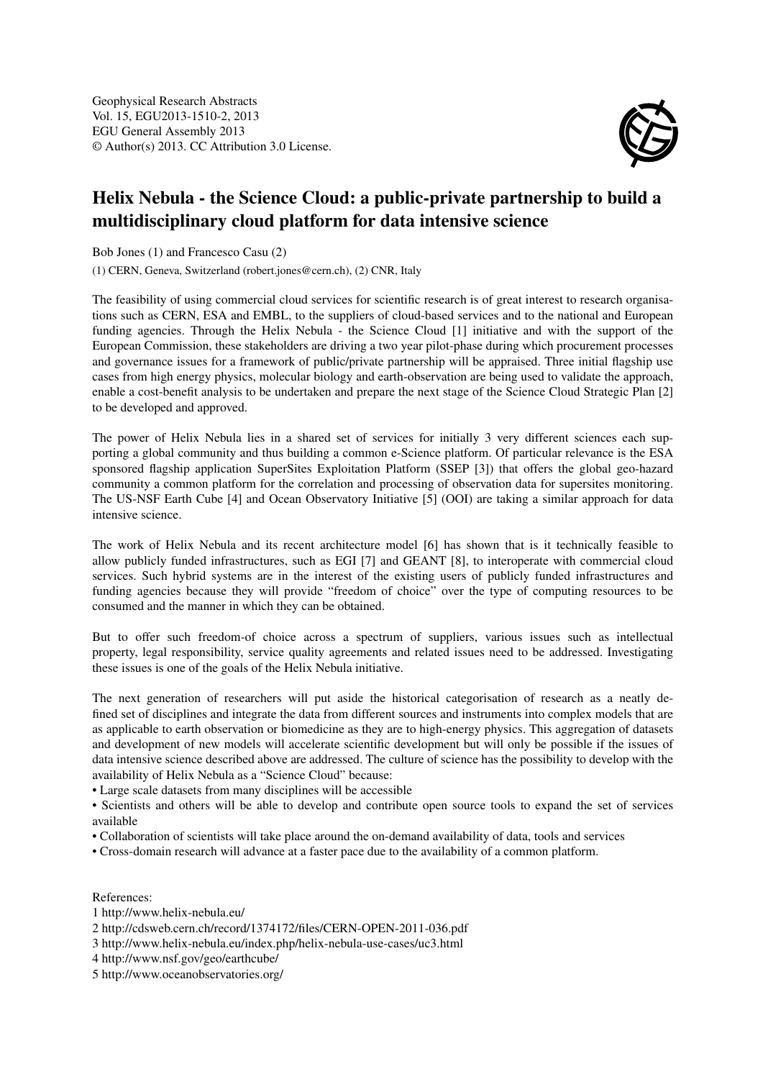

## Helix Nebula - the Science Cloud: a public-private partnership to build a multidisciplinary cloud platform for data intensive science

Bob Jones (1) and Francesco Casu (2)

(1) CERN, Geneva, Switzerland (robert.jones@cern.ch), (2) CNR, Italy

The feasibility of using commercial cloud services for scientific research is of great interest to research organisations such as CERN, ESA and EMBL, to the suppliers of cloud-based services and to the national and European funding agencies. Through the Helix Nebula - the Science Cloud [1] initiative and with the support of the European Commission, these stakeholders are driving a two year pilot-phase during which procurement processes and governance issues for a framework of public/private partnership will be appraised. Three initial flagship use cases from high energy physics, molecular biology and earth-observation are being used to validate the approach, enable a cost-benefit analysis to be undertaken and prepare the next stage of the Science Cloud Strategic Plan [2] to be developed and approved.

The power of Helix Nebula lies in a shared set of services for initially 3 very different sciences each supporting a global community and thus building a common e-Science platform. Of particular relevance is the ESA sponsored flagship application SuperSites Exploitation Platform (SSEP [3]) that offers the global geo-hazard community a common platform for the correlation and processing of observation data for supersites monitoring. The US-NSF Earth Cube [4] and Ocean Observatory Initiative [5] (OOI) are taking a similar approach for data intensive science.

The work of Helix Nebula and its recent architecture model [6] has shown that is it technically feasible to allow publicly funded infrastructures, such as EGI [7] and GEANT [8], to interoperate with commercial cloud services. Such hybrid systems are in the interest of the existing users of publicly funded infrastructures and funding agencies because they will provide "freedom of choice" over the type of computing resources to be consumed and the manner in which they can be obtained.

But to offer such freedom-of choice across a spectrum of suppliers, various issues such as intellectual property, legal responsibility, service quality agreements and related issues need to be addressed. Investigating these issues is one of the goals of the Helix Nebula initiative.

The next generation of researchers will put aside the historical categorisation of research as a neatly defined set of disciplines and integrate the data from different sources and instruments into complex models that are as applicable to earth observation or biomedicine as they are to high-energy physics. This aggregation of datasets and development of new models will accelerate scientific development but will only be possible if the issues of data intensive science described above are addressed. The culture of science has the possibility to develop with the availability of Helix Nebula as a "Science Cloud" because:

• Large scale datasets from many disciplines will be accessible

• Scientists and others will be able to develop and contribute open source tools to expand the set of services available

- Collaboration of scientists will take place around the on-demand availability of data, tools and services
- Cross-domain research will advance at a faster pace due to the availability of a common platform.

## References:

- 1 http://www.helix-nebula.eu/
- 2 http://cdsweb.cern.ch/record/1374172/files/CERN-OPEN-2011-036.pdf
- 3 http://www.helix-nebula.eu/index.php/helix-nebula-use-cases/uc3.html
- 4 http://www.nsf.gov/geo/earthcube/
- 5 http://www.oceanobservatories.org/